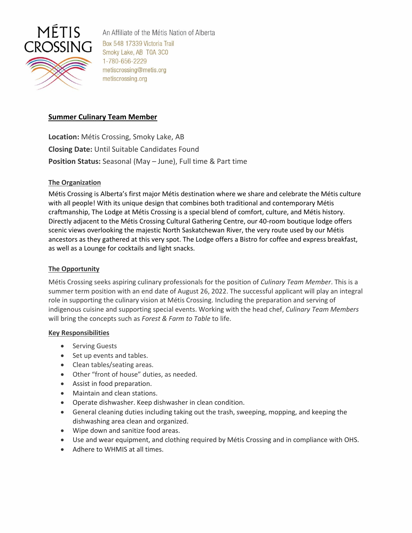

An Affiliate of the Métis Nation of Alberta Box 548 17339 Victoria Trail Smoky Lake, AB T0A 3C0 1-780-656-2229 metiscrossing@metis.org metiscrossing.org

# **Summer Culinary Team Member**

**Location:** Métis Crossing, Smoky Lake, AB **Closing Date:** Until Suitable Candidates Found **Position Status:** Seasonal (May – June), Full time & Part time

## **The Organization**

Métis Crossing is Alberta's first major Métis destination where we share and celebrate the Métis culture with all people! With its unique design that combines both traditional and contemporary Métis craftmanship, The Lodge at Métis Crossing is a special blend of comfort, culture, and Métis history. Directly adjacent to the Métis Crossing Cultural Gathering Centre, our 40-room boutique lodge offers scenic views overlooking the majestic North Saskatchewan River, the very route used by our Métis ancestors as they gathered at this very spot. The Lodge offers a Bistro for coffee and express breakfast, as well as a Lounge for cocktails and light snacks.

## **The Opportunity**

Métis Crossing seeks aspiring culinary professionals for the position of *Culinary Team Member*. This is a summer term position with an end date of August 26, 2022. The successful applicant will play an integral role in supporting the culinary vision at Métis Crossing. Including the preparation and serving of indigenous cuisine and supporting special events. Working with the head chef, *Culinary Team Members* will bring the concepts such as *Forest & Farm to Table* to life.

## **Key Responsibilities**

- Serving Guests
- Set up events and tables.
- Clean tables/seating areas.
- Other "front of house" duties, as needed.
- Assist in food preparation.
- Maintain and clean stations.
- Operate dishwasher. Keep dishwasher in clean condition.
- General cleaning duties including taking out the trash, sweeping, mopping, and keeping the dishwashing area clean and organized.
- Wipe down and sanitize food areas.
- Use and wear equipment, and clothing required by Métis Crossing and in compliance with OHS.
- Adhere to WHMIS at all times.